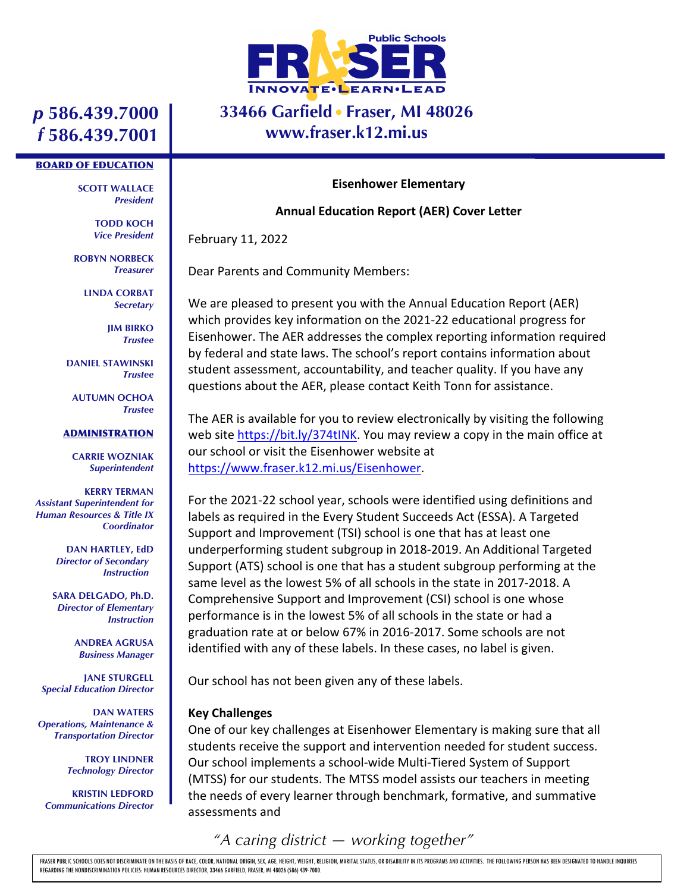

### **33466 Garfield Fraser, MI 48026 www.fraser.k12.mi.us**

# *p* **586.439.7000** *f* **586.439.7001**

#### BOARD OF EDUCATION

**SCOTT WALLACE** *President*

> **TODD KOCH** *Vice President*

**ROBYN NORBECK** *Treasurer*

> **LINDA CORBAT** *Secretary*

> > **JIM BIRKO** *Trustee*

**DANIEL STAWINSKI** *Trustee*

**AUTUMN OCHOA** *Trustee*

#### ADMINISTRATION

**CARRIE WOZNIAK** *Superintendent*

**KERRY TERMAN** *Assistant Superintendent for Human Resources & Title IX Coordinator*

> **DAN HARTLEY, EdD** *Director of Secondary Instruction*

**SARA DELGADO, Ph.D.** *Director of Elementary Instruction*

> **ANDREA AGRUSA** *Business Manager*

**JANE STURGELL** *Special Education Director*

**DAN WATERS** *Operations, Maintenance & Transportation Director*

> **TROY LINDNER** *Technology Director*

**KRISTIN LEDFORD** *Communications Director*

#### **Eisenhower Elementary**

#### **Annual Education Report (AER) Cover Letter**

February 11, 2022

Dear Parents and Community Members:

We are pleased to present you with the Annual Education Report (AER) which provides key information on the 2021-22 educational progress for Eisenhower. The AER addresses the complex reporting information required by federal and state laws. The school's report contains information about student assessment, accountability, and teacher quality. If you have any questions about the AER, please contact Keith Tonn for assistance.

The AER is available for you to review electronically by visiting the following web site https://bit.ly/374tINK. You may review a copy in the main office at our school or visit the Eisenhower website at https://www.fraser.k12.mi.us/Eisenhower.

For the 2021-22 school year, schools were identified using definitions and labels as required in the Every Student Succeeds Act (ESSA). A Targeted Support and Improvement (TSI) school is one that has at least one underperforming student subgroup in 2018-2019. An Additional Targeted Support (ATS) school is one that has a student subgroup performing at the same level as the lowest 5% of all schools in the state in 2017-2018. A Comprehensive Support and Improvement (CSI) school is one whose performance is in the lowest 5% of all schools in the state or had a graduation rate at or below 67% in 2016-2017. Some schools are not identified with any of these labels. In these cases, no label is given.

Our school has not been given any of these labels.

#### **Key Challenges**

One of our key challenges at Eisenhower Elementary is making sure that all students receive the support and intervention needed for student success. Our school implements a school-wide Multi-Tiered System of Support (MTSS) for our students. The MTSS model assists our teachers in meeting the needs of every learner through benchmark, formative, and summative assessments and

## *"A caring district — working together"*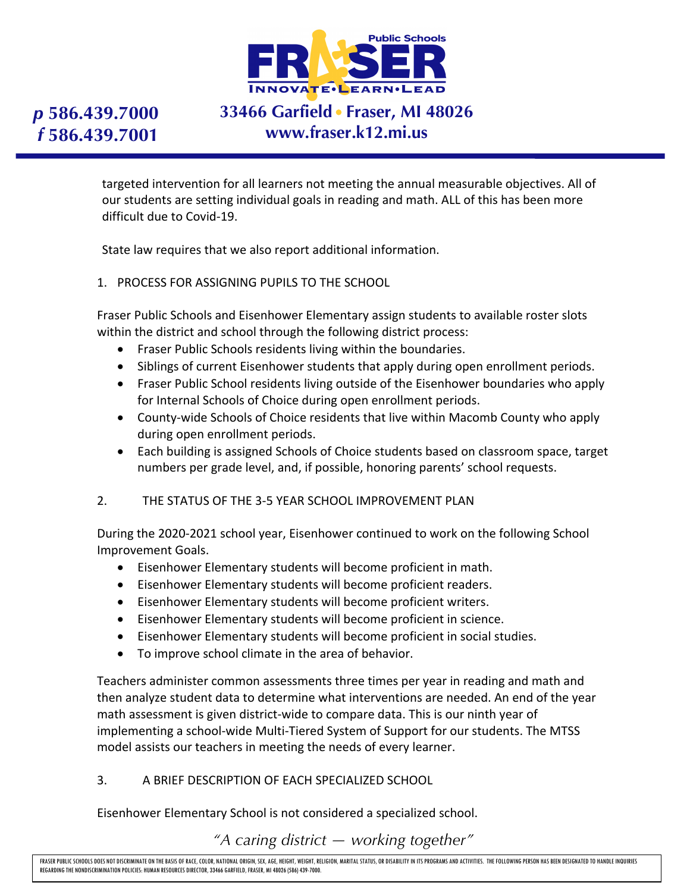

# **33466 Garfield Fraser, MI 48026 www.fraser.k12.mi.us**

targeted intervention for all learners not meeting the annual measurable objectives. All of our students are setting individual goals in reading and math. ALL of this has been more difficult due to Covid-19.

State law requires that we also report additional information.

1. PROCESS FOR ASSIGNING PUPILS TO THE SCHOOL

Fraser Public Schools and Eisenhower Elementary assign students to available roster slots within the district and school through the following district process:

- Fraser Public Schools residents living within the boundaries.
- Siblings of current Eisenhower students that apply during open enrollment periods.
- Fraser Public School residents living outside of the Eisenhower boundaries who apply for Internal Schools of Choice during open enrollment periods.
- County-wide Schools of Choice residents that live within Macomb County who apply during open enrollment periods.
- Each building is assigned Schools of Choice students based on classroom space, target numbers per grade level, and, if possible, honoring parents' school requests.

#### 2. THE STATUS OF THE 3-5 YEAR SCHOOL IMPROVEMENT PLAN

During the 2020-2021 school year, Eisenhower continued to work on the following School Improvement Goals.

- Eisenhower Elementary students will become proficient in math.
- Eisenhower Elementary students will become proficient readers.
- Eisenhower Elementary students will become proficient writers.
- Eisenhower Elementary students will become proficient in science.
- Eisenhower Elementary students will become proficient in social studies.
- To improve school climate in the area of behavior.

Teachers administer common assessments three times per year in reading and math and then analyze student data to determine what interventions are needed. An end of the year math assessment is given district-wide to compare data. This is our ninth year of implementing a school-wide Multi-Tiered System of Support for our students. The MTSS model assists our teachers in meeting the needs of every learner.

### 3. A BRIEF DESCRIPTION OF EACH SPECIALIZED SCHOOL

Eisenhower Elementary School is not considered a specialized school.

*"A caring district — working together"*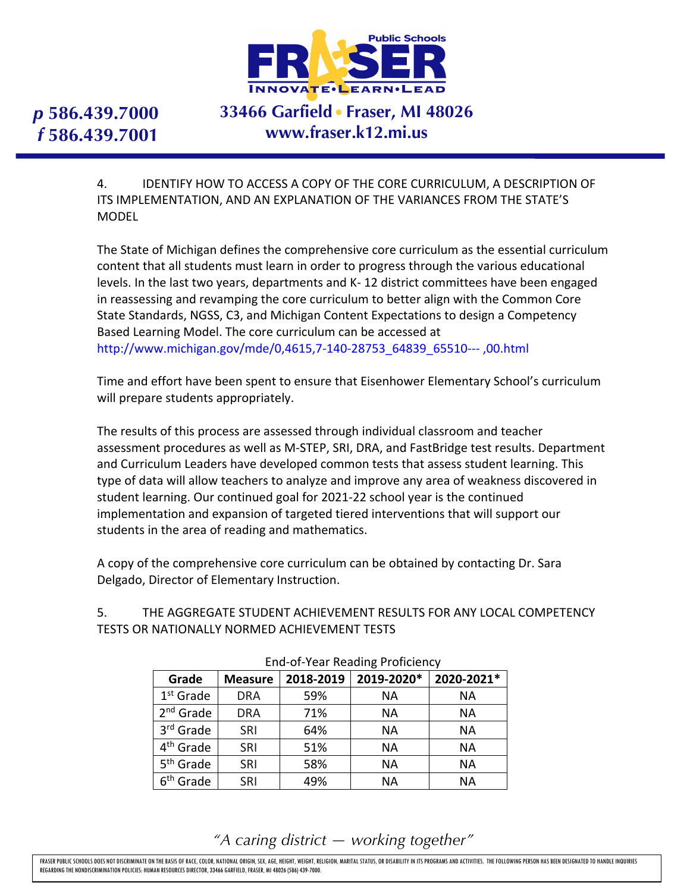

# **33466 Garfield Fraser, MI 48026 www.fraser.k12.mi.us**

4. IDENTIFY HOW TO ACCESS A COPY OF THE CORE CURRICULUM, A DESCRIPTION OF ITS IMPLEMENTATION, AND AN EXPLANATION OF THE VARIANCES FROM THE STATE'S MODEL

The State of Michigan defines the comprehensive core curriculum as the essential curriculum content that all students must learn in order to progress through the various educational levels. In the last two years, departments and K- 12 district committees have been engaged in reassessing and revamping the core curriculum to better align with the Common Core State Standards, NGSS, C3, and Michigan Content Expectations to design a Competency Based Learning Model. The core curriculum can be accessed at http://www.michigan.gov/mde/0,4615,7-140-28753\_64839\_65510--- ,00.html

Time and effort have been spent to ensure that Eisenhower Elementary School's curriculum will prepare students appropriately.

The results of this process are assessed through individual classroom and teacher assessment procedures as well as M-STEP, SRI, DRA, and FastBridge test results. Department and Curriculum Leaders have developed common tests that assess student learning. This type of data will allow teachers to analyze and improve any area of weakness discovered in student learning. Our continued goal for 2021-22 school year is the continued implementation and expansion of targeted tiered interventions that will support our students in the area of reading and mathematics.

A copy of the comprehensive core curriculum can be obtained by contacting Dr. Sara Delgado, Director of Elementary Instruction.

5. THE AGGREGATE STUDENT ACHIEVEMENT RESULTS FOR ANY LOCAL COMPETENCY TESTS OR NATIONALLY NORMED ACHIEVEMENT TESTS

| Grade                 | <b>Measure</b> | 2018-2019 | 2019-2020* | 2020-2021* |  |  |
|-----------------------|----------------|-----------|------------|------------|--|--|
| $1st$ Grade           | <b>DRA</b>     | 59%       | NА         | ΝA         |  |  |
| 2 <sup>nd</sup> Grade | <b>DRA</b>     | 71%       | <b>NA</b>  | <b>NA</b>  |  |  |
| 3rd Grade             | <b>SRI</b>     | 64%       | <b>NA</b>  | <b>NA</b>  |  |  |
| 4 <sup>th</sup> Grade | SRI            | 51%       | <b>NA</b>  | NA         |  |  |
| 5 <sup>th</sup> Grade | SRI            | 58%       | <b>NA</b>  | NA         |  |  |
| 6 <sup>th</sup> Grade | SRI            | 49%       | <b>NA</b>  | <b>NA</b>  |  |  |

#### End-of-Year Reading Proficiency

*"A caring district — working together"*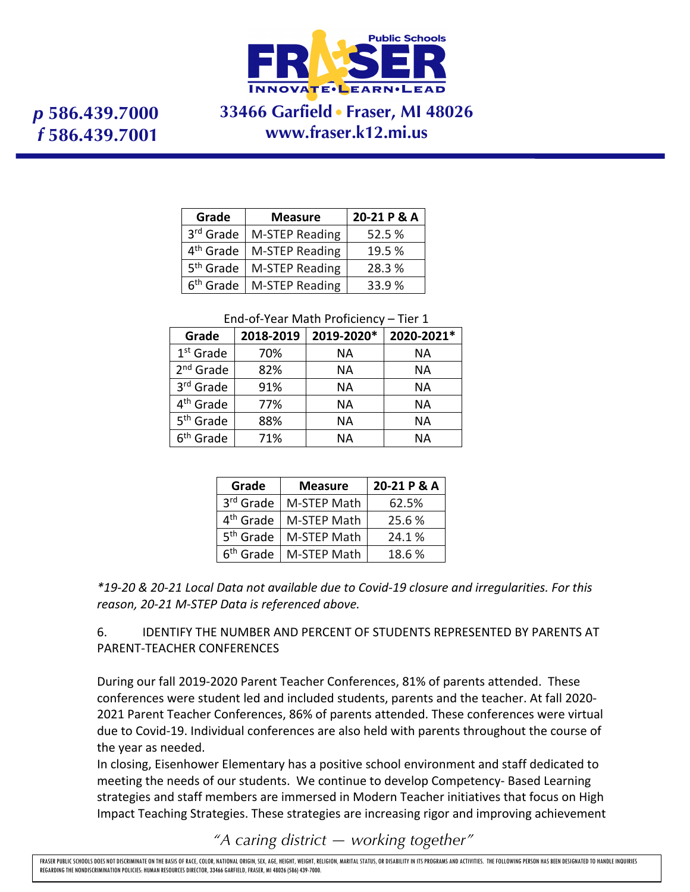

## **33466 Garfield Fraser, MI 48026 www.fraser.k12.mi.us**

| Grade                 | <b>Measure</b>        | 20-21 P & A |
|-----------------------|-----------------------|-------------|
| 3rd Grade             | M-STEP Reading        | 52.5 %      |
| 4 <sup>th</sup> Grade | M-STEP Reading        | 19.5 %      |
| 5 <sup>th</sup> Grade | M-STEP Reading        | 28.3 %      |
| 6 <sup>th</sup> Grade | <b>M-STEP Reading</b> | 33.9 %      |

#### End-of-Year Math Proficiency – Tier 1

| Grade                 | 2018-2019 | 2019-2020* | 2020-2021* |  |  |
|-----------------------|-----------|------------|------------|--|--|
| $1st$ Grade           | 70%       | ΝA         | NА         |  |  |
| $2nd$ Grade           | 82%       | NА         | NА         |  |  |
| 3rd Grade             | 91%       | <b>NA</b>  | NA         |  |  |
| 4 <sup>th</sup> Grade | 77%       | NА         | NА         |  |  |
| 5 <sup>th</sup> Grade | 88%       | ΝA         | NА         |  |  |
| 6 <sup>th</sup> Grade | 71%       | ΝA         | ΝA         |  |  |

| Grade                 | <b>Measure</b> | 20-21 P & A |
|-----------------------|----------------|-------------|
| 3 <sup>rd</sup> Grade | M-STEP Math    | 62.5%       |
| 4 <sup>th</sup> Grade | M-STEP Math    | 25.6%       |
| 5 <sup>th</sup> Grade | M-STEP Math    | 24.1 %      |
| 6 <sup>th</sup> Grade | M-STEP Math    | 18.6%       |

*\*19-20 & 20-21 Local Data not available due to Covid-19 closure and irregularities. For this reason, 20-21 M-STEP Data is referenced above.*

6. IDENTIFY THE NUMBER AND PERCENT OF STUDENTS REPRESENTED BY PARENTS AT PARENT-TEACHER CONFERENCES

During our fall 2019-2020 Parent Teacher Conferences, 81% of parents attended. These conferences were student led and included students, parents and the teacher. At fall 2020- 2021 Parent Teacher Conferences, 86% of parents attended. These conferences were virtual due to Covid-19. Individual conferences are also held with parents throughout the course of the year as needed.

In closing, Eisenhower Elementary has a positive school environment and staff dedicated to meeting the needs of our students. We continue to develop Competency- Based Learning strategies and staff members are immersed in Modern Teacher initiatives that focus on High Impact Teaching Strategies. These strategies are increasing rigor and improving achievement

*"A caring district — working together"*